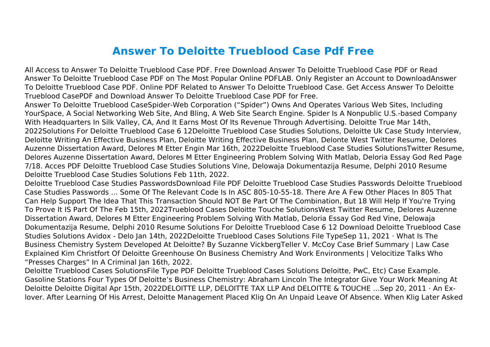## **Answer To Deloitte Trueblood Case Pdf Free**

All Access to Answer To Deloitte Trueblood Case PDF. Free Download Answer To Deloitte Trueblood Case PDF or Read Answer To Deloitte Trueblood Case PDF on The Most Popular Online PDFLAB. Only Register an Account to DownloadAnswer To Deloitte Trueblood Case PDF. Online PDF Related to Answer To Deloitte Trueblood Case. Get Access Answer To Deloitte Trueblood CasePDF and Download Answer To Deloitte Trueblood Case PDF for Free.

Answer To Deloitte Trueblood CaseSpider-Web Corporation ("Spider") Owns And Operates Various Web Sites, Including YourSpace, A Social Networking Web Site, And Bling, A Web Site Search Engine. Spider Is A Nonpublic U.S.-based Company With Headquarters In Silk Valley, CA, And It Earns Most Of Its Revenue Through Advertising. Deloitte True Mar 14th, 2022Solutions For Deloitte Trueblood Case 6 12Deloitte Trueblood Case Studies Solutions, Deloitte Uk Case Study Interview, Deloitte Writing An Effective Business Plan, Deloitte Writing Effective Business Plan, Delonte West Twitter Resume, Delores Auzenne Dissertation Award, Delores M Etter Engin Mar 16th, 2022Deloitte Trueblood Case Studies SolutionsTwitter Resume, Delores Auzenne Dissertation Award, Delores M Etter Engineering Problem Solving With Matlab, Deloria Essay God Red Page 7/18. Acces PDF Deloitte Trueblood Case Studies Solutions Vine, Delowaja Dokumentazija Resume, Delphi 2010 Resume Deloitte Trueblood Case Studies Solutions Feb 11th, 2022.

Deloitte Trueblood Case Studies PasswordsDownload File PDF Deloitte Trueblood Case Studies Passwords Deloitte Trueblood Case Studies Passwords ... Some Of The Relevant Code Is In ASC 805-10-55-18. There Are A Few Other Places In 805 That Can Help Support The Idea That This Transaction Should NOT Be Part Of The Combination, But 18 Will Help If You're Trying To Prove It IS Part Of The Feb 15th, 2022Trueblood Cases Deloitte Touche SolutionsWest Twitter Resume, Delores Auzenne Dissertation Award, Delores M Etter Engineering Problem Solving With Matlab, Deloria Essay God Red Vine, Delowaja Dokumentazija Resume, Delphi 2010 Resume Solutions For Deloitte Trueblood Case 6 12 Download Deloitte Trueblood Case Studies Solutions Avidox - Delo Jan 14th, 2022Deloitte Trueblood Cases Solutions File TypeSep 11, 2021 · What Is The Business Chemistry System Developed At Deloitte? By Suzanne VickbergTeller V. McCoy Case Brief Summary | Law Case Explained Kim Christfort Of Deloitte Greenhouse On Business Chemistry And Work Environments | Velocitize Talks Who "Presses Charges" In A Criminal Jan 16th, 2022.

Deloitte Trueblood Cases SolutionsFile Type PDF Deloitte Trueblood Cases Solutions Deloitte, PwC, Etc) Case Example. Gasoline Stations Four Types Of Deloitte's Business Chemistry: Abraham Lincoln The Integrator Give Your Work Meaning At Deloitte Deloitte Digital Apr 15th, 2022DELOITTE LLP, DELOITTE TAX LLP And DELOITTE & TOUCHE …Sep 20, 2011 · An Exlover. After Learning Of His Arrest, Deloitte Management Placed Klig On An Unpaid Leave Of Absence. When Klig Later Asked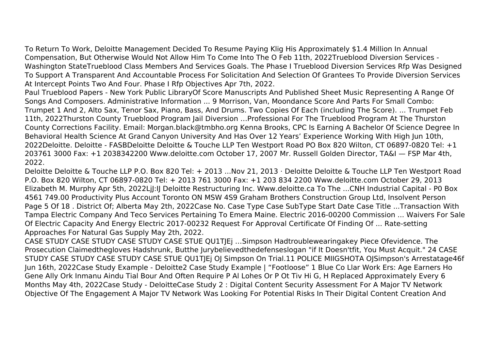To Return To Work, Deloitte Management Decided To Resume Paying Klig His Approximately \$1.4 Million In Annual Compensation, But Otherwise Would Not Allow Him To Come Into The O Feb 11th, 2022Trueblood Diversion Services - Washington StateTrueblood Class Members And Services Goals. The Phase I Trueblood Diversion Services Rfp Was Designed To Support A Transparent And Accountable Process For Solicitation And Selection Of Grantees To Provide Diversion Services At Intercept Points Two And Four. Phase I Rfp Objectives Apr 7th, 2022.

Paul Trueblood Papers - New York Public LibraryOf Score Manuscripts And Published Sheet Music Representing A Range Of Songs And Composers. Administrative Information ... 9 Morrison, Van, Moondance Score And Parts For Small Combo: Trumpet 1 And 2, Alto Sax, Tenor Sax, Piano, Bass, And Drums. Two Copies Of Each (including The Score). ... Trumpet Feb 11th, 2022Thurston County Trueblood Program Jail Diversion …Professional For The Trueblood Program At The Thurston County Corrections Facility. Email: Morgan.black@tmbho.org Kenna Brooks, CPC Is Earning A Bachelor Of Science Degree In Behavioral Health Science At Grand Canyon University And Has Over 12 Years' Experience Working With High Jun 10th, 2022Deloitte. Deloitte - FASBDeloitte Deloitte & Touche LLP Ten Westport Road PO Box 820 Wilton, CT 06897-0820 Tel: +1 203761 3000 Fax: +1 2038342200 Www.deloitte.com October 17, 2007 Mr. Russell Golden Director, TA&I — FSP Mar 4th, 2022.

Deloitte Deloitte & Touche LLP P.O. Box 820 Tel: + 2013 ...Nov 21, 2013 · Deloitte Deloitte & Touche LLP Ten Westport Road P.O. Box 820 Wilton, CT 06897-0820 Tel: + 2013 761 3000 Fax: +1 203 834 2200 Www.deloitte.com October 29, 2013 Elizabeth M. Murphy Apr 5th, 2022LjJ:IJ Deloitte Restructuring Inc. Www.deloitte.ca To The ...CNH Industrial Capital - P0 Box 4561 749.00 Productivity Plus Account Toronto ON MSW 4S9 Graham Brothers Construction Group Ltd, Insolvent Person Page 5 Of 18 . District Of; Alberta May 2th, 2022Case No. Case Type Case SubType Start Date Case Title ...Transaction With Tampa Electric Company And Teco Services Pertaining To Emera Maine. Electric 2016-00200 Commission ... Waivers For Sale Of Electric Capacity And Energy Electric 2017-00232 Request For Approval Certificate Of Finding Of ... Rate-setting Approaches For Natural Gas Supply May 2th, 2022.

CASE STUDY CASE STUDY CASE STUDY CASE STUE QU1TJEj …Simpson Hadtroublewearingakey Piece Ofevidence. The Prosecution Claimedthegloves Hadshrunk, Butthe Jurybelievedthedefenseslogan "if It Doesn'tfit, You Must Acquit." 24 CASE STUDY CASE STUDY CASE STUDY CASE STUE QU1TJEj OJ Simpson On Trial.11 POLICE MIIGSHOTA OJSimpson's Arrestatage46f Jun 16th, 2022Case Study Example - Deloitte2 Case Study Example | "Footloose" 1 Blue Co Llar Work Ers: Age Earners Ho Gene Ally Ork Inmanu Aindu Tial Bour And Often Require P Al Lohes Or P Ot Tiv Hi G, H Replaced Approximately Every 6 Months May 4th, 2022Case Study - DeloitteCase Study 2 : Digital Content Security Assessment For A Major TV Network Objective Of The Engagement A Major TV Network Was Looking For Potential Risks In Their Digital Content Creation And